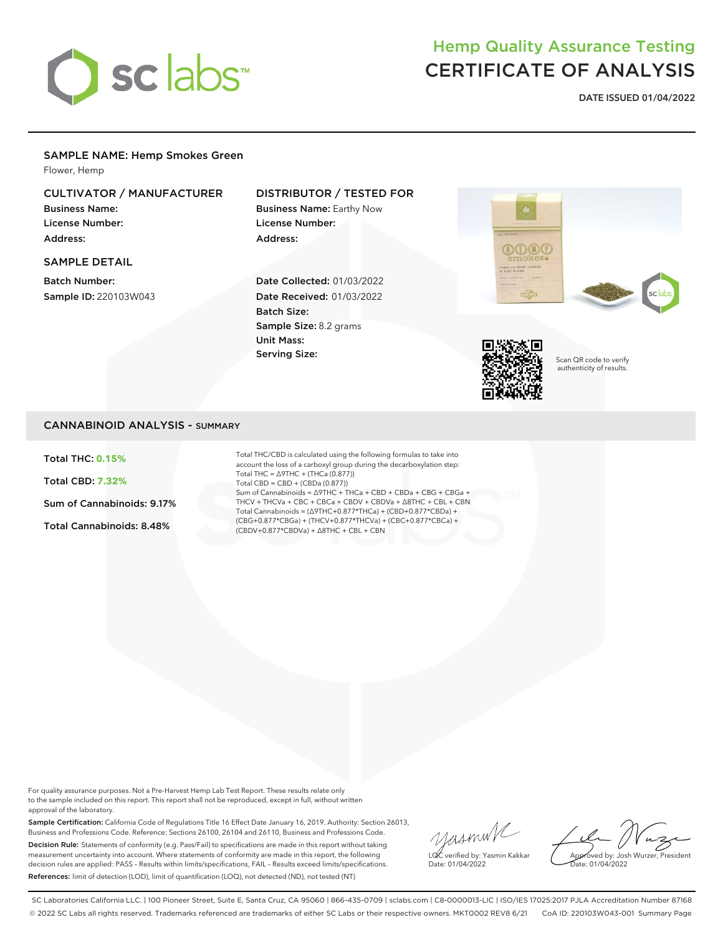

# Hemp Quality Assurance Testing CERTIFICATE OF ANALYSIS

**DATE ISSUED 01/04/2022**

## SAMPLE NAME: Hemp Smokes Green

Flower, Hemp

# CULTIVATOR / MANUFACTURER

Business Name: License Number: Address:

#### SAMPLE DETAIL

Batch Number: Sample ID: 220103W043

# DISTRIBUTOR / TESTED FOR

Business Name: Earthy Now License Number: Address:

Date Collected: 01/03/2022 Date Received: 01/03/2022 Batch Size: Sample Size: 8.2 grams Unit Mass: Serving Size:





Scan QR code to verify authenticity of results.

### CANNABINOID ANALYSIS - SUMMARY

Total THC: **0.15%**

Total CBD: **7.32%**

Sum of Cannabinoids: 9.17%

Total Cannabinoids: 8.48%

Total THC/CBD is calculated using the following formulas to take into account the loss of a carboxyl group during the decarboxylation step: Total THC = ∆9THC + (THCa (0.877)) Total CBD = CBD + (CBDa (0.877)) Sum of Cannabinoids = ∆9THC + THCa + CBD + CBDa + CBG + CBGa + THCV + THCVa + CBC + CBCa + CBDV + CBDVa + ∆8THC + CBL + CBN Total Cannabinoids = (∆9THC+0.877\*THCa) + (CBD+0.877\*CBDa) + (CBG+0.877\*CBGa) + (THCV+0.877\*THCVa) + (CBC+0.877\*CBCa) + (CBDV+0.877\*CBDVa) + ∆8THC + CBL + CBN

For quality assurance purposes. Not a Pre-Harvest Hemp Lab Test Report. These results relate only to the sample included on this report. This report shall not be reproduced, except in full, without written approval of the laboratory.

Sample Certification: California Code of Regulations Title 16 Effect Date January 16, 2019. Authority: Section 26013, Business and Professions Code. Reference: Sections 26100, 26104 and 26110, Business and Professions Code. Decision Rule: Statements of conformity (e.g. Pass/Fail) to specifications are made in this report without taking measurement uncertainty into account. Where statements of conformity are made in this report, the following decision rules are applied: PASS – Results within limits/specifications, FAIL – Results exceed limits/specifications. References: limit of detection (LOD), limit of quantification (LOQ), not detected (ND), not tested (NT)

yusmink LQC verified by: Yasmin Kakkar Date: 01/04/2022

Approved by: Josh Wurzer, President Date: 01/04/2022

SC Laboratories California LLC. | 100 Pioneer Street, Suite E, Santa Cruz, CA 95060 | 866-435-0709 | sclabs.com | C8-0000013-LIC | ISO/IES 17025:2017 PJLA Accreditation Number 87168 © 2022 SC Labs all rights reserved. Trademarks referenced are trademarks of either SC Labs or their respective owners. MKT0002 REV8 6/21 CoA ID: 220103W043-001 Summary Page